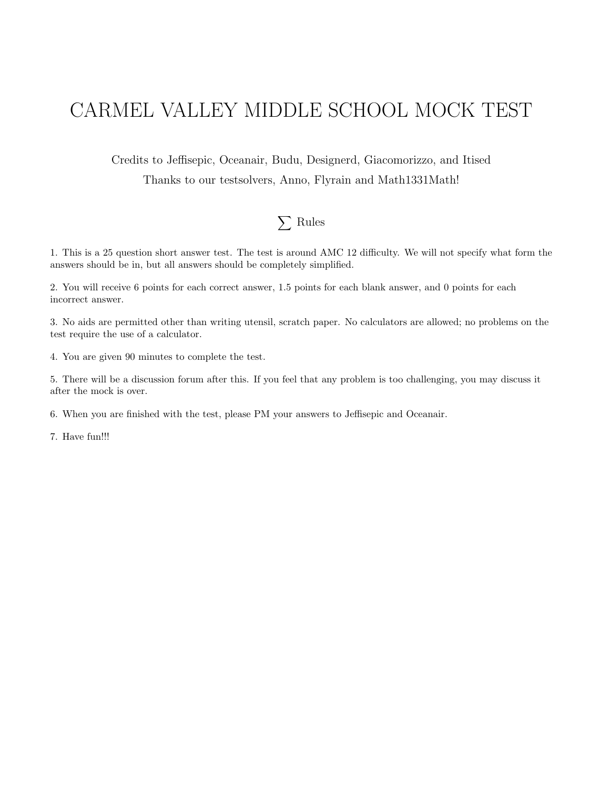## CARMEL VALLEY MIDDLE SCHOOL MOCK TEST

Credits to Jeffisepic, Oceanair, Budu, Designerd, Giacomorizzo, and Itised Thanks to our testsolvers, Anno, Flyrain and Math1331Math!

## $\sum$  Rules

1. This is a 25 question short answer test. The test is around AMC 12 difficulty. We will not specify what form the answers should be in, but all answers should be completely simplified.

2. You will receive 6 points for each correct answer, 1.5 points for each blank answer, and 0 points for each incorrect answer.

3. No aids are permitted other than writing utensil, scratch paper. No calculators are allowed; no problems on the test require the use of a calculator.

4. You are given 90 minutes to complete the test.

5. There will be a discussion forum after this. If you feel that any problem is too challenging, you may discuss it after the mock is over.

6. When you are finished with the test, please PM your answers to Jeffisepic and Oceanair.

7. Have fun!!!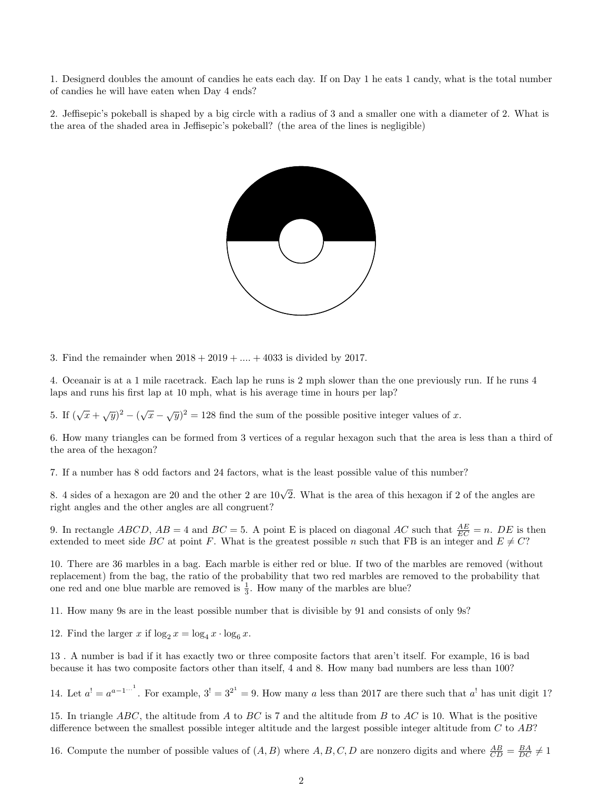1. Designerd doubles the amount of candies he eats each day. If on Day 1 he eats 1 candy, what is the total number of candies he will have eaten when Day 4 ends?

2. Jeffisepic's pokeball is shaped by a big circle with a radius of 3 and a smaller one with a diameter of 2. What is the area of the shaded area in Jeffisepic's pokeball? (the area of the lines is negligible)



3. Find the remainder when  $2018 + 2019 + ... + 4033$  is divided by 2017.

4. Oceanair is at a 1 mile racetrack. Each lap he runs is 2 mph slower than the one previously run. If he runs 4 laps and runs his first lap at 10 mph, what is his average time in hours per lap?

5. If  $(\sqrt{x} + \sqrt{y})^2 - (\sqrt{x} - \sqrt{y})^2 = 128$  find the sum of the possible positive integer values of x.

6. How many triangles can be formed from 3 vertices of a regular hexagon such that the area is less than a third of the area of the hexagon?

7. If a number has 8 odd factors and 24 factors, what is the least possible value of this number?

8. 4 sides of a hexagon are 20 and the other 2 are  $10\sqrt{2}$ . What is the area of this hexagon if 2 of the angles are right angles and the other angles are all congruent?

9. In rectangle  $ABCD$ ,  $AB = 4$  and  $BC = 5$ . A point E is placed on diagonal AC such that  $\frac{AE}{EC} = n$ . DE is then extended to meet side BC at point F. What is the greatest possible n such that FB is an integer and  $E \neq C$ ?

10. There are 36 marbles in a bag. Each marble is either red or blue. If two of the marbles are removed (without replacement) from the bag, the ratio of the probability that two red marbles are removed to the probability that one red and one blue marble are removed is  $\frac{1}{3}$ . How many of the marbles are blue?

11. How many 9s are in the least possible number that is divisible by 91 and consists of only 9s?

12. Find the larger x if  $\log_2 x = \log_4 x \cdot \log_6 x$ .

13 . A number is bad if it has exactly two or three composite factors that aren't itself. For example, 16 is bad because it has two composite factors other than itself, 4 and 8. How many bad numbers are less than 100?

14. Let  $a' = a^{a-1}$ . For example,  $3' = 3^{2^1} = 9$ . How many a less than 2017 are there such that  $a'$  has unit digit 1?

15. In triangle ABC, the altitude from A to BC is 7 and the altitude from B to AC is 10. What is the positive difference between the smallest possible integer altitude and the largest possible integer altitude from  $C$  to  $AB$ ?

16. Compute the number of possible values of  $(A, B)$  where  $A, B, C, D$  are nonzero digits and where  $\frac{AB}{CD} = \frac{BA}{DC} \neq 1$